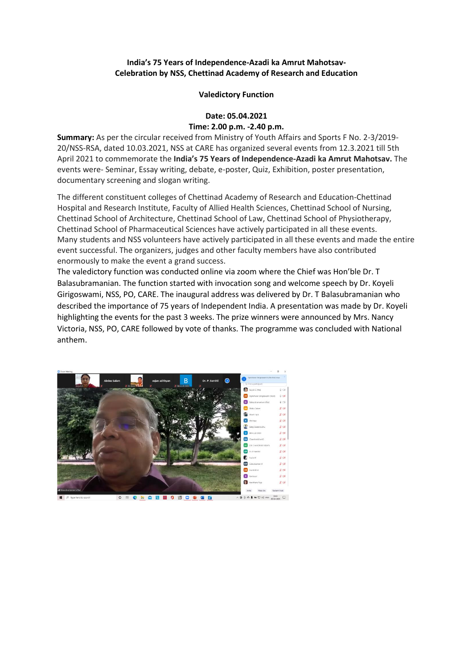## **India's 75 Years of Independence-Azadi ka Amrut Mahotsav-Celebration by NSS, Chettinad Academy of Research and Education**

## **Valedictory Function**

## **Date: 05.04.2021**

## **Time: 2.00 p.m. -2.40 p.m.**

**Summary:** As per the circular received from Ministry of Youth Affairs and Sports F No. 2-3/2019- 20/NSS-RSA, dated 10.03.2021, NSS at CARE has organized several events from 12.3.2021 till 5th April 2021 to commemorate the **India's 75 Years of Independence-Azadi ka Amrut Mahotsav.** The events were- Seminar, Essay writing, debate, e-poster, Quiz, Exhibition, poster presentation, documentary screening and slogan writing.

The different constituent colleges of Chettinad Academy of Research and Education-Chettinad Hospital and Research Institute, Faculty of Allied Health Sciences, Chettinad School of Nursing, Chettinad School of Architecture, Chettinad School of Law, Chettinad School of Physiotherapy, Chettinad School of Pharmaceutical Sciences have actively participated in all these events. Many students and NSS volunteers have actively participated in all these events and made the entire event successful. The organizers, judges and other faculty members have also contributed enormously to make the event a grand success.

The valedictory function was conducted online via zoom where the Chief was Hon'ble Dr. T Balasubramanian. The function started with invocation song and welcome speech by Dr. Koyeli Girigoswami, NSS, PO, CARE. The inaugural address was delivered by Dr. T Balasubramanian who described the importance of 75 years of Independent India. A presentation was made by Dr. Koyeli highlighting the events for the past 3 weeks. The prize winners were announced by Mrs. Nancy Victoria, NSS, PO, CARE followed by vote of thanks. The programme was concluded with National anthem.